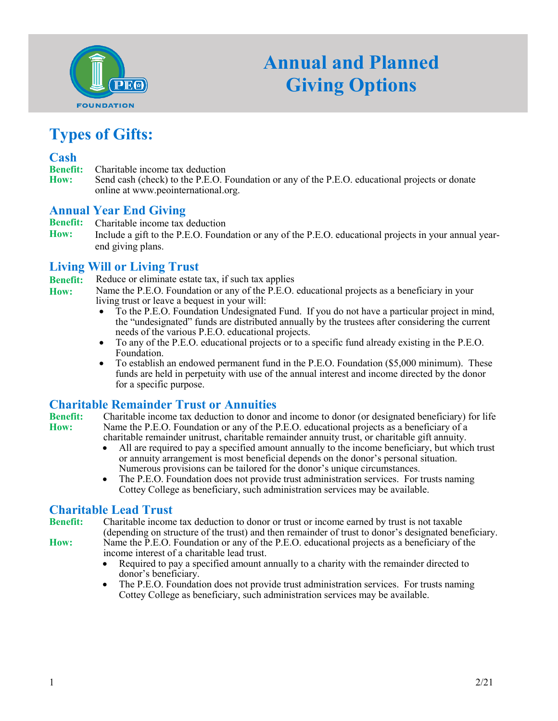

# **Annual and Planned Giving Options**

#### **Types of Gifts:**

- **Cash Benefit:** Charitable income tax deduction<br>**How:** Send cash (check) to the P.E.O. I
- **How:** Send cash (check) to the P.E.O. Foundation or any of the P.E.O. educational projects or donate online at www.peointernational.org.

#### **Annual Year End Giving**

- **Benefit:** Charitable income tax deduction
- **How:** Include a gift to the P.E.O. Foundation or any of the P.E.O. educational projects in your annual yearend giving plans.

#### **Living Will or Living Trust**

**Benefit:** Reduce or eliminate estate tax, if such tax applies

- **How:** Name the P.E.O. Foundation or any of the P.E.O. educational projects as a beneficiary in your living trust or leave a bequest in your will:
	- To the P.E.O. Foundation Undesignated Fund. If you do not have a particular project in mind, the "undesignated" funds are distributed annually by the trustees after considering the current needs of the various P.E.O. educational projects.
	- To any of the P.E.O. educational projects or to a specific fund already existing in the P.E.O. Foundation.
	- To establish an endowed permanent fund in the P.E.O. Foundation (\$5,000 minimum). These funds are held in perpetuity with use of the annual interest and income directed by the donor for a specific purpose.

## **Charitable Remainder Trust or Annuities**<br>**Benefit:** Charitable income tax deduction to donor a

**Benefit:** Charitable income tax deduction to donor and income to donor (or designated beneficiary) for life **How:** Name the P.E.O. Foundation or any of the P.E.O. educational projects as a beneficiary of a **How:** Name the P.E.O. Foundation or any of the P.E.O. educational projects as a beneficiary of a charitable remainder unitrust, charitable remainder annuity trust, or charitable gift annuity.

- All are required to pay a specified amount annually to the income beneficiary, but which trust or annuity arrangement is most beneficial depends on the donor's personal situation. Numerous provisions can be tailored for the donor's unique circumstances.
- The P.E.O. Foundation does not provide trust administration services. For trusts naming Cottey College as beneficiary, such administration services may be available.

## **Charitable Lead Trust**

**Benefit:** Charitable income tax deduction to donor or trust or income earned by trust is not taxable (depending on structure of the trust) and then remainder of trust to donor's designated beneficiary.

- 
- **How:** Name the P.E.O. Foundation or any of the P.E.O. educational projects as a beneficiary of the income interest of a charitable lead trust. • Required to pay a specified amount annually to a charity with the remainder directed to
	- donor's beneficiary.
	- The P.E.O. Foundation does not provide trust administration services. For trusts naming Cottey College as beneficiary, such administration services may be available.